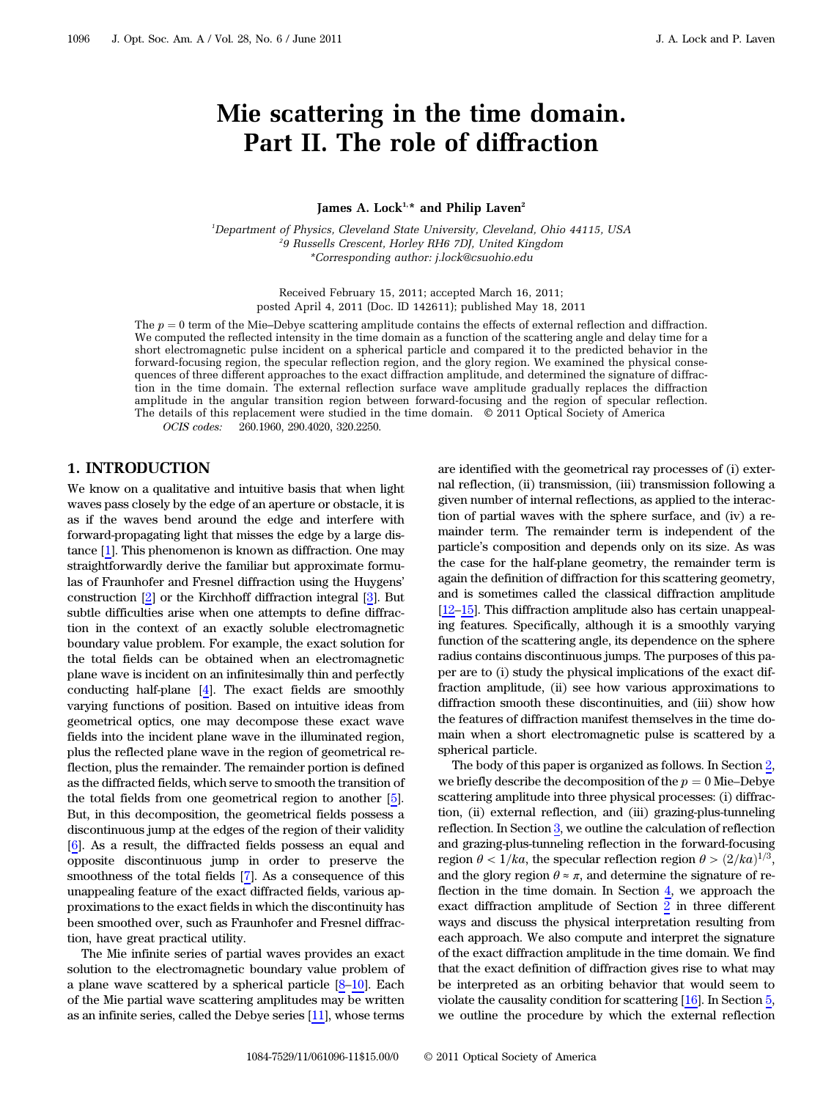# Mie scattering in the time domain. Part II. The role of diffraction

#### James A. Lock<sup>1,\*</sup> and Philip Laven<sup>2</sup>

<sup>1</sup>Department of Physics, Cleveland State University, Cleveland, Ohio 44115, USA 2 9 Russells Crescent, Horley RH6 7DJ, United Kingdom \*Corresponding author: j.lock@csuohio.edu

> Received February 15, 2011; accepted March 16, 2011; posted April 4, 2011 (Doc. ID 142611); published May 18, 2011

The  $p = 0$  term of the Mie–Debye scattering amplitude contains the effects of external reflection and diffraction. We computed the reflected intensity in the time domain as a function of the scattering angle and delay time for a short electromagnetic pulse incident on a spherical particle and compared it to the predicted behavior in the forward-focusing region, the specular reflection region, and the glory region. We examined the physical consequences of three different approaches to the exact diffraction amplitude, and determined the signature of diffraction in the time domain. The external reflection surface wave amplitude gradually replaces the diffraction amplitude in the angular transition region between forward-focusing and the region of specular reflection. The details of this replacement were studied in the time domain. © 2011 Optical Society of America

<span id="page-0-0"></span>OCIS codes: 260.1960, 290.4020, 320.2250.

#### 1. INTRODUCTION

We know on a qualitative and intuitive basis that when light waves pass closely by the edge of an aperture or obstacle, it is as if the waves bend around the edge and interfere with forward-propagating light that misses the edge by a large distance [1]. This phenomenon is known as diffraction. One may straightforwardly derive the familiar but approximate formulas of Fraunhofer and Fresnel diffraction using the Huygens' construction [[2](#page-9-0)] or the Kirchhoff diffraction integral [\[3\]](#page-9-1). But subtle difficulties arise when one attempts to define diffraction in the context of an exactly soluble electromagnetic boundary value problem. For example, the exact solution for the total fields can be obtained when an electromagnetic plane wave is incident on an infinitesimally thin and perfectly conducting half-plane [\[4\]](#page-9-2). The exact fields are smoothly varying functions of position. Based on intuitive ideas from geometrical optics, one may decompose these exact wave fields into the incident plane wave in the illuminated region, plus the reflected plane wave in the region of geometrical reflection, plus the remainder. The remainder portion is defined as the diffracted fields, which serve to smooth the transition of the total fields from one geometrical region to another [\[5\]](#page-9-3). But, in this decomposition, the geometrical fields possess a discontinuous jump at the edges of the region of their validity [[6](#page-9-4)]. As a result, the diffracted fields possess an equal and opposite discontinuous jump in order to preserve the smoothness of the total fields [[7](#page-9-5)]. As a consequence of this unappealing feature of the exact diffracted fields, various approximations to the exact fields in which the discontinuity has been smoothed over, such as Fraunhofer and Fresnel diffraction, have great practical utility.

The Mie infinite series of partial waves provides an exact solution to the electromagnetic boundary value problem of a plane wave scattered by a spherical particle  $[8-10]$  $[8-10]$  $[8-10]$  $[8-10]$ . Each of the Mie partial wave scattering amplitudes may be written as an infinite series, called the Debye series [\[11](#page-10-1)], whose terms are identified with the geometrical ray processes of (i) external reflection, (ii) transmission, (iii) transmission following a given number of internal reflections, as applied to the interaction of partial waves with the sphere surface, and (iv) a remainder term. The remainder term is independent of the particle's composition and depends only on its size. As was the case for the half-plane geometry, the remainder term is again the definition of diffraction for this scattering geometry, and is sometimes called the classical diffraction amplitude [[12](#page-10-2)–[15](#page-10-3)]. This diffraction amplitude also has certain unappealing features. Specifically, although it is a smoothly varying function of the scattering angle, its dependence on the sphere radius contains discontinuous jumps. The purposes of this paper are to (i) study the physical implications of the exact diffraction amplitude, (ii) see how various approximations to diffraction smooth these discontinuities, and (iii) show how the features of diffraction manifest themselves in the time domain when a short electromagnetic pulse is scattered by a spherical particle.

The body of this paper is organized as follows. In Section [2,](#page-1-0) we briefly describe the decomposition of the  $p = 0$  Mie–Debye scattering amplitude into three physical processes: (i) diffraction, (ii) external reflection, and (iii) grazing-plus-tunneling reflection. In Section [3](#page-2-0), we outline the calculation of reflection and grazing-plus-tunneling reflection in the forward-focusing region  $\theta$  < 1/ka, the specular reflection region  $\theta$  >  $\left(\frac{2}{ka}\right)^{1/3}$ , and the glory region  $\theta \approx \pi$ , and determine the signature of reflection in the time domain. In Section [4,](#page-3-0) we approach the exact diffraction amplitude of Section [2](#page-1-0) in three different ways and discuss the physical interpretation resulting from each approach. We also compute and interpret the signature of the exact diffraction amplitude in the time domain. We find that the exact definition of diffraction gives rise to what may be interpreted as an orbiting behavior that would seem to violate the causality condition for scattering [[16\]](#page-10-4). In Section [5,](#page-7-0) we outline the procedure by which the external reflection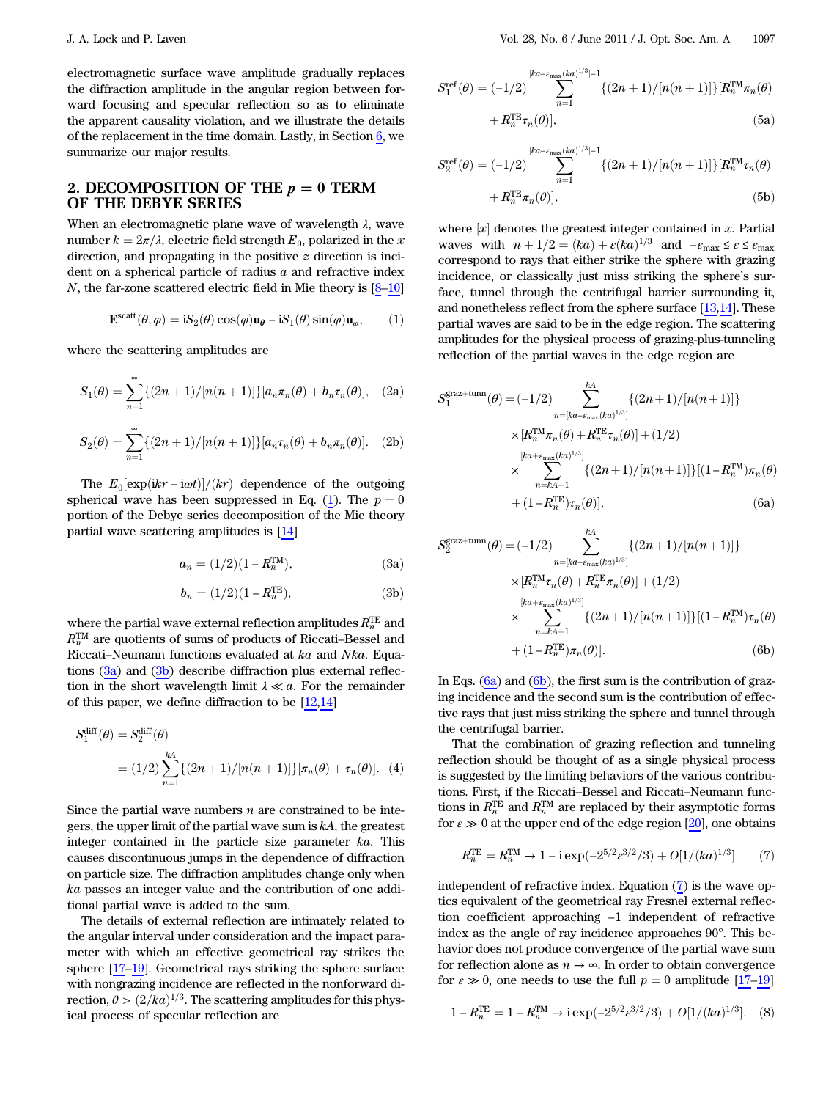electromagnetic surface wave amplitude gradually replaces the diffraction amplitude in the angular region between forward focusing and specular reflection so as to eliminate the apparent causality violation, and we illustrate the details of the replacement in the time domain. Lastly, in Section  $6$ , we summarize our major results.

#### <span id="page-1-0"></span>2. DECOMPOSITION OF THE  $p = 0$  TERM OF THE DEBYE SERIES

When an electromagnetic plane wave of wavelength  $\lambda$ , wave number  $k = 2\pi/\lambda$ , electric field strength  $E_0$ , polarized in the x direction, and propagating in the positive z direction is incident on a spherical particle of radius  $a$  and refractive index  $N$ , the far-zone scattered electric field in Mie theory is  $[8-10]$  $[8-10]$  $[8-10]$  $[8-10]$ 

<span id="page-1-1"></span>
$$
\mathbf{E}^{\text{scatt}}(\theta,\varphi) = \mathbf{i} S_2(\theta) \cos(\varphi) \mathbf{u}_{\theta} - \mathbf{i} S_1(\theta) \sin(\varphi) \mathbf{u}_{\varphi},\qquad(1)
$$

where the scattering amplitudes are

$$
S_1(\theta) = \sum_{n=1}^{\infty} \{ (2n+1)/[n(n+1)] \} [a_n \pi_n(\theta) + b_n \tau_n(\theta)], \quad (2a)
$$

$$
S_2(\theta) = \sum_{n=1}^{\infty} \{ (2n+1)/[n(n+1)] \} [a_n \tau_n(\theta) + b_n \pi_n(\theta)]. \quad (2b)
$$

The  $E_0[\exp(ikr - i\omega t)]/(kr)$  dependence of the outgoing spherical wave has been suppressed in Eq. [\(1\)](#page-1-1). The  $p = 0$ portion of the Debye series decomposition of the Mie theory partial wave scattering amplitudes is [\[14](#page-10-5)]

$$
a_n = (1/2)(1 - R_n^{\text{TM}}), \tag{3a}
$$

$$
b_n = (1/2)(1 - R_n^{\text{TE}}),\tag{3b}
$$

where the partial wave external reflection amplitudes  $R^{\rm TE}_{n}$  and where are parameters are external reflection displacations  $R_n^{\text{TM}}$  are quotients of sums of products of Riccati–Bessel and Riccati–Neumann functions evaluated at ka and Nka. Equations  $(3a)$  and  $(3b)$  describe diffraction plus external reflection in the short wavelength limit  $\lambda \ll a$ . For the remainder of this paper, we define diffraction to be [[12,](#page-10-2)[14](#page-10-5)]

<span id="page-1-4"></span>
$$
S_1^{\text{diff}}(\theta) = S_2^{\text{diff}}(\theta)
$$
  
= (1/2)  $\sum_{n=1}^{kA} \{(2n+1)/[n(n+1)]\} [\pi_n(\theta) + \tau_n(\theta)].$  (4)

Since the partial wave numbers  $n$  are constrained to be integers, the upper limit of the partial wave sum is  $kA$ , the greatest integer contained in the particle size parameter ka. This causes discontinuous jumps in the dependence of diffraction on particle size. The diffraction amplitudes change only when ka passes an integer value and the contribution of one additional partial wave is added to the sum.

The details of external reflection are intimately related to the angular interval under consideration and the impact parameter with which an effective geometrical ray strikes the sphere [\[17](#page-10-6)–[19\]](#page-10-7). Geometrical rays striking the sphere surface with nongrazing incidence are reflected in the nonforward direction,  $\theta > (2/ka)^{1/3}$ . The scattering amplitudes for this physical process of specular reflection are

$$
S_1^{\text{ref}}(\theta) = (-1/2) \sum_{n=1}^{[ka - \varepsilon_{\text{max}}(ka)^{1/3}] - 1} \{ (2n+1) / [n(n+1)] \} [R_n^{\text{TM}} \pi_n(\theta) + R_n^{\text{TE}} \tau_n(\theta)],
$$
\n(5a)

Sref

$$
S_2^{\text{ref}}(\theta) = (-1/2) \sum_{n=1}^{[ka-\varepsilon_{\text{max}}(ka)^{1/3}] - 1} \{ (2n+1) / [n(n+1)] \} [R_n^{\text{TM}} \tau_n(\theta) + R_n^{\text{TE}} \pi_n(\theta)],
$$
\n(5b)

where  $[x]$  denotes the greatest integer contained in x. Partial waves with  $n + 1/2 = (ka) + \varepsilon (ka)^{1/3}$  and  $-\varepsilon_{\text{max}} \leq \varepsilon \leq \varepsilon_{\text{max}}$ correspond to rays that either strike the sphere with grazing incidence, or classically just miss striking the sphere's surface, tunnel through the centrifugal barrier surrounding it, and nonetheless reflect from the sphere surface [\[13](#page-10-8),[14\]](#page-10-5). These partial waves are said to be in the edge region. The scattering amplitudes for the physical process of grazing-plus-tunneling reflection of the partial waves in the edge region are

$$
S_1^{\text{grav+tunn}}(\theta) = (-1/2) \sum_{n=[ka-\varepsilon_{\text{max}}(ka)^{1/3}]}^{kA} \{ (2n+1)/[n(n+1)] \}
$$
  
×[ $R_n^{\text{TM}} \pi_n(\theta) + R_n^{\text{TE}} \tau_n(\theta)$ ] + (1/2)  
×
$$
\sum_{n=kA+1}^{[ka+\varepsilon_{\text{max}}(ka)^{1/3}]} \{ (2n+1)/[n(n+1)] \} [(1 - R_n^{\text{TM}}) \pi_n(\theta) + (1 - R_n^{\text{TE}}) \tau_n(\theta)],
$$
(6a)

$$
S_2^{\text{graz+tunn}}(\theta) = (-1/2) \sum_{n=[ka-\epsilon_{\text{max}}(ka)^{1/3}]}^{kA} \{ (2n+1)/[n(n+1)] \}
$$
  
 
$$
\times [R_n^{\text{TM}} \tau_n(\theta) + R_n^{\text{TE}} \pi_n(\theta)] + (1/2)
$$
  
 
$$
\times \sum_{n=kA+1}^{[ka+\epsilon_{\text{max}}(ka)^{1/3}]} \{ (2n+1)/[n(n+1)] \} [(1-R_n^{\text{TM}}) \tau_n(\theta) + (1-R_n^{\text{TE}}) \pi_n(\theta)].
$$
 (6b)

In Eqs.  $(6a)$  and  $(6b)$ , the first sum is the contribution of grazing incidence and the second sum is the contribution of effective rays that just miss striking the sphere and tunnel through the centrifugal barrier.

That the combination of grazing reflection and tunneling reflection should be thought of as a single physical process is suggested by the limiting behaviors of the various contributions. First, if the Riccati–Bessel and Riccati–Neumann functions in  $R_n^{\text{TE}}$  and  $R_n^{\text{TM}}$  are replaced by their asymptotic forms for  $\varepsilon \gg 0$  at the upper end of the edge region [\[20](#page-10-9)], one obtains

<span id="page-1-2"></span>
$$
R_n^{\text{TE}} = R_n^{\text{TM}} \to 1 - i \exp(-2^{5/2} \varepsilon^{3/2} / 3) + O[1/(ka)^{1/3}] \tag{7}
$$

independent of refractive index. Equation [\(7\)](#page-1-2) is the wave optics equivalent of the geometrical ray Fresnel external reflection coefficient approaching −1 independent of refractive index as the angle of ray incidence approaches 90°. This behavior does not produce convergence of the partial wave sum for reflection alone as  $n \to \infty$ . In order to obtain convergence for  $\varepsilon \gg 0$ , one needs to use the full  $p = 0$  amplitude [[17](#page-10-6)–[19](#page-10-7)]

<span id="page-1-3"></span>
$$
1 - R_n^{\text{TE}} = 1 - R_n^{\text{TM}} \to i \exp(-2^{5/2} \varepsilon^{3/2} / 3) + O[1/(ka)^{1/3}]. \quad (8)
$$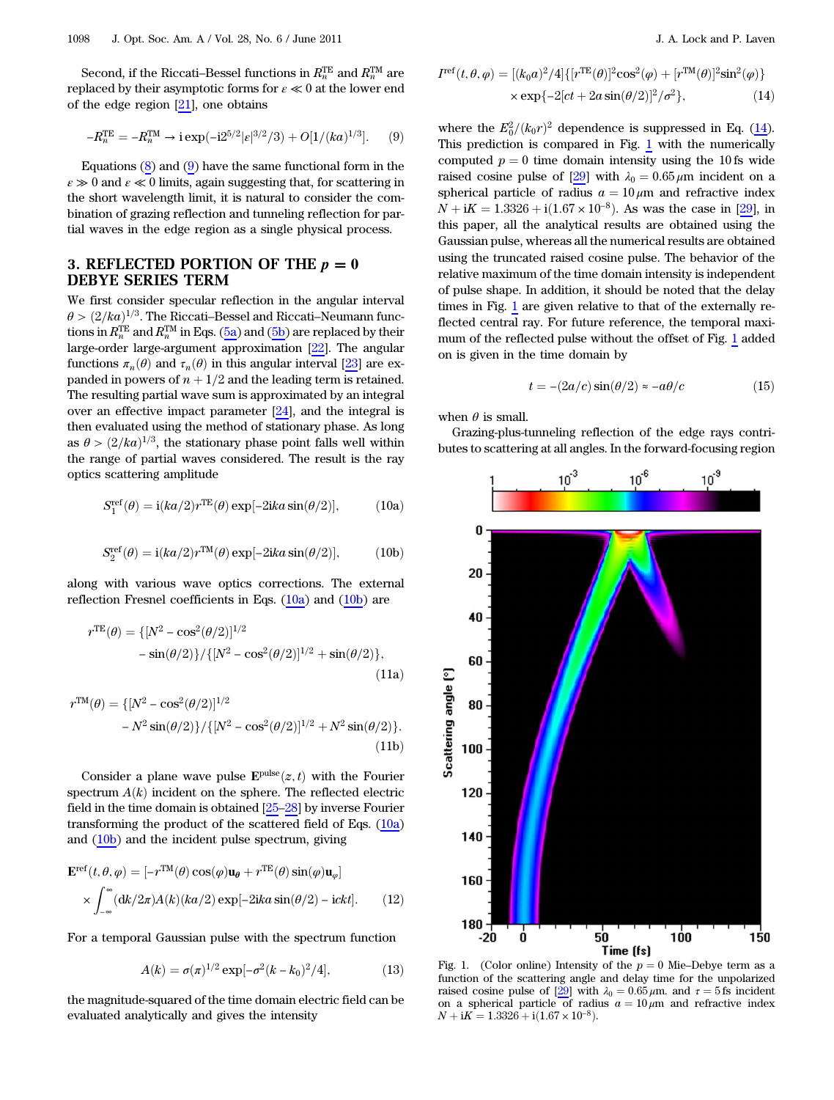<span id="page-2-1"></span>Second, if the Riccati–Bessel functions in  $R_n^{\text{TE}}$  and  $R_n^{\text{TM}}$  are replaced by their asymptotic forms for  $\varepsilon \ll 0$  at the lower end of the edge region  $[21]$  $[21]$ , one obtains

$$
-R_n^{\text{TE}} = -R_n^{\text{TM}} \to i \exp(-i2^{5/2} |\varepsilon|^{3/2}/3) + O[1/(ka)^{1/3}]. \tag{9}
$$

Equations  $(8)$  and  $(9)$  $(9)$  $(9)$  have the same functional form in the  $\varepsilon \gg 0$  and  $\varepsilon \ll 0$  limits, again suggesting that, for scattering in the short wavelength limit, it is natural to consider the combination of grazing reflection and tunneling reflection for partial waves in the edge region as a single physical process.

## <span id="page-2-0"></span>3. REFLECTED PORTION OF THE  $p = 0$ DEBYE SERIES TERM

We first consider specular reflection in the angular interval  $\theta$  >  $(2/ka)^{1/3}$ . The Riccati–Bessel and Riccati–Neumann functions in  $R_n^{\rm TE}$  and  $R_n^{\rm TM}$  in Eqs. (5a) and (5b) are replaced by their large-order large-argument approximation [\[22](#page-10-11)]. The angular functions  $\pi_n(\theta)$  and  $\tau_n(\theta)$  in this angular interval [[23\]](#page-10-12) are expanded in powers of  $n + 1/2$  and the leading term is retained. The resulting partial wave sum is approximated by an integral over an effective impact parameter [\[24\]](#page-10-13), and the integral is then evaluated using the method of stationary phase. As long as  $\theta > (2/ka)^{1/3}$ , the stationary phase point falls well within the range of partial waves considered. The result is the ray optics scattering amplitude

$$
S_1^{\text{ref}}(\theta) = i(ka/2)r^{\text{TE}}(\theta) \exp[-2ika\sin(\theta/2)],\tag{10a}
$$

$$
S_2^{\text{ref}}(\theta) = i(ka/2)r^{\text{TM}}(\theta) \exp[-2ika\sin(\theta/2)],\tag{10b}
$$

along with various wave optics corrections. The external reflection Fresnel coefficients in Eqs. (10a) and (10b) are

$$
rTE(\theta) = \{ [N^2 - \cos^2(\theta/2)]^{1/2} - \sin(\theta/2) \} / \{ [N^2 - \cos^2(\theta/2)]^{1/2} + \sin(\theta/2) \},
$$
\n(11a)

$$
r^{TM}(\theta) = \{ [N^2 - \cos^2(\theta/2)]^{1/2} - N^2 \sin(\theta/2) \} / \{ [N^2 - \cos^2(\theta/2)]^{1/2} + N^2 \sin(\theta/2) \}.
$$
\n(11b)

Consider a plane wave pulse  $\mathbf{E}^{\text{pulse}}(z, t)$  with the Fourier spectrum  $A(k)$  incident on the sphere. The reflected electric field in the time domain is obtained [\[25](#page-10-14)–[28\]](#page-10-15) by inverse Fourier transforming the product of the scattered field of Eqs.  $(10a)$ and (10b) and the incident pulse spectrum, giving

$$
\mathbf{E}^{\text{ref}}(t,\theta,\varphi) = [-r^{\text{TM}}(\theta)\cos(\varphi)\mathbf{u}_{\theta} + r^{\text{TE}}(\theta)\sin(\varphi)\mathbf{u}_{\varphi}]
$$

$$
\times \int_{-\infty}^{\infty} (\text{d}k/2\pi)A(k)(ka/2)\exp[-2ika\sin(\theta/2) - i\epsilon kt]. \tag{12}
$$

For a temporal Gaussian pulse with the spectrum function

$$
A(k) = \sigma(\pi)^{1/2} \exp[-\sigma^2 (k - k_0)^2 / 4], \tag{13}
$$

<span id="page-2-2"></span>the magnitude-squared of the time domain electric field can be evaluated analytically and gives the intensity

$$
I^{\text{ref}}(t,\theta,\varphi) = [(k_0 a)^2/4] \{ [r^{\text{TE}}(\theta)]^2 \cos^2(\varphi) + [r^{\text{TM}}(\theta)]^2 \sin^2(\varphi) \} \times \exp\{-2[ct + 2a\sin(\theta/2)]^2/\sigma^2 \}, \tag{14}
$$

where the  $E_0^2/(k_0r)^2$  dependence is suppressed in Eq. [\(14](#page-2-2)).<br>This prodiction is compared in Fig. 1 with the numerically This prediction is compared in Fig. [1](#page-2-3) with the numerically computed  $p = 0$  time domain intensity using the 10 fs wide raised cosine pulse of [\[29](#page-10-16)] with  $\lambda_0 = 0.65 \,\mu \text{m}$  incident on a spherical particle of radius  $a = 10 \mu m$  and refractive index  $N + iK = 1.3326 + i(1.67 \times 10^{-8})$ . As was the case in [\[29](#page-10-16)], in this paper, all the analytical results are obtained using the Gaussian pulse, whereas all the numerical results are obtained using the truncated raised cosine pulse. The behavior of the relative maximum of the time domain intensity is independent of pulse shape. In addition, it should be noted that the delay times in Fig. [1](#page-2-3) are given relative to that of the externally reflected central ray. For future reference, the temporal maximum of the reflected pulse without the offset of Fig. [1](#page-2-3) added on is given in the time domain by

$$
t = -(2a/c)\sin(\theta/2) \approx -a\theta/c \tag{15}
$$

<span id="page-2-4"></span>when  $\theta$  is small.

Grazing-plus-tunneling reflection of the edge rays contributes to scattering at all angles. In the forward-focusing region

<span id="page-2-3"></span>

function of the scattering angle and delay time for the unpolarized raised cosine pulse of [\[29](#page-10-16)] with  $\lambda_0 = 0.65 \,\mu$ m. and  $\tau = 5$  fs incident on a spherical particle of radius  $a = 10 \mu m$  and refractive index  $N + iK = 1.3326 + i(1.67 \times 10^{-8}).$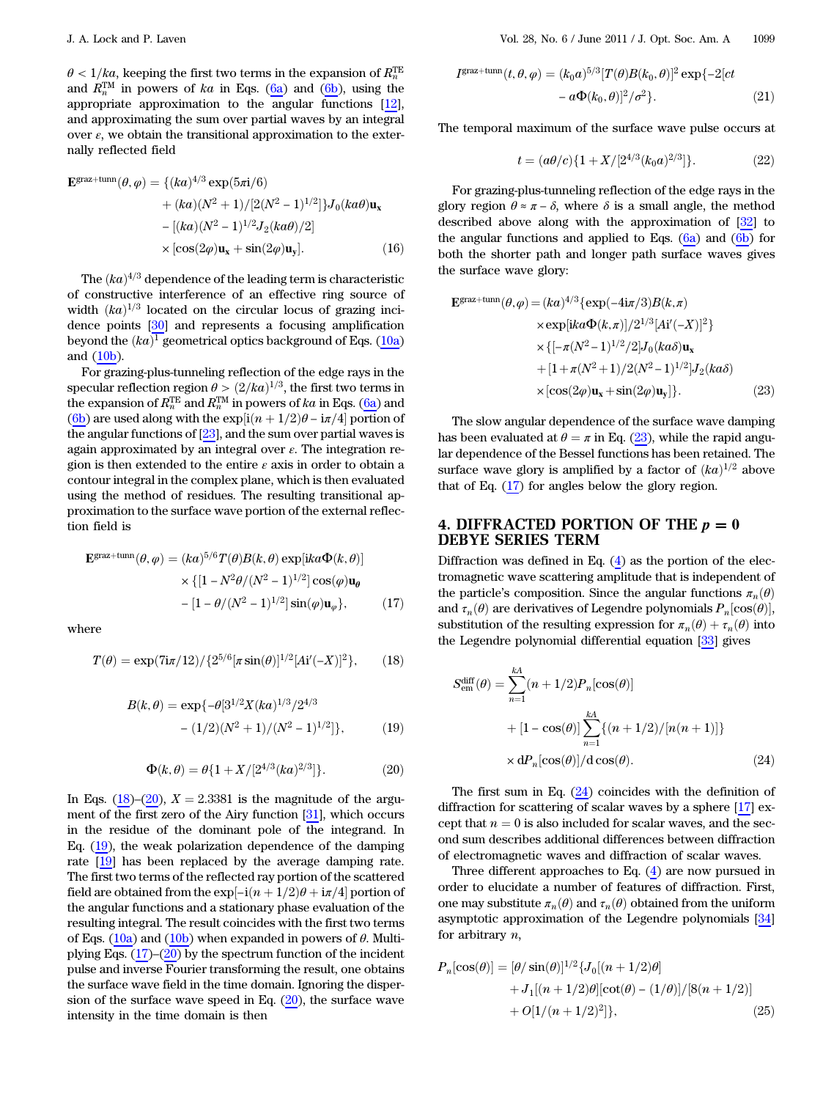$\theta < 1/ka$ , keeping the first two terms in the expansion of  $R^{\text{TE}}_n$ and  $R_n^{\text{TM}}$  in powers of ka in Eqs. (6a) and (6b), using the appropriate approximation to the angular functions [[12\]](#page-10-2), and approximating the sum over partial waves by an integral over  $\varepsilon$ , we obtain the transitional approximation to the externally reflected field

<span id="page-3-9"></span>
$$
\mathbf{E}^{\text{grav+tunn}}(\theta,\varphi) = \{ (ka)^{4/3} \exp(5\pi i/6) + (ka)(N^2 + 1)/[2(N^2 - 1)^{1/2}] \} J_0(ka\theta) \mathbf{u}_x - [(ka)(N^2 - 1)^{1/2} J_2(ka\theta)/2] \times [\cos(2\varphi) \mathbf{u}_x + \sin(2\varphi) \mathbf{u}_y].
$$
 (16)

The  $(ka)^{4/3}$  dependence of the leading term is characteristic of constructive interference of an effective ring source of width  $(ka)^{1/3}$  located on the circular locus of grazing incidence points [[30\]](#page-10-17) and represents a focusing amplification beyond the  $(ka)^1$  geometrical optics background of Eqs. (10a) and (10b).

For grazing-plus-tunneling reflection of the edge rays in the specular reflection region  $\theta > (2/ka)^{1/3}$ , the first two terms in the expansion of  $R^{\rm TE}_n$  and  $R^{\rm TM}_n$  in powers of  $ka$  in Eqs. (6a) and (6b) are used along with the  $\exp[i(n+1/2)\theta - i\pi/4]$  portion of the angular functions of  $[23]$  $[23]$ , and the sum over partial waves is again approximated by an integral over  $\varepsilon$ . The integration region is then extended to the entire  $\varepsilon$  axis in order to obtain a contour integral in the complex plane, which is then evaluated using the method of residues. The resulting transitional approximation to the surface wave portion of the external reflection field is

<span id="page-3-4"></span>
$$
\mathbf{E}^{\text{grav+tunn}}(\theta,\varphi) = (ka)^{5/6} T(\theta) B(k,\theta) \exp[ika\Phi(k,\theta)]
$$

$$
\times \{[1 - N^2 \theta/(N^2 - 1)^{1/2}] \cos(\varphi)\mathbf{u}_{\theta}
$$

$$
-[1 - \theta/(N^2 - 1)^{1/2}] \sin(\varphi)\mathbf{u}_{\varphi} \}, \qquad (17)
$$

<span id="page-3-1"></span>where

<span id="page-3-3"></span>
$$
T(\theta) = \exp(7i\pi/12) / \{2^{5/6} [\pi \sin(\theta)]^{1/2} [Ai'(-X)]^2\},\qquad(18)
$$

$$
B(k,\theta) = \exp\{-\theta[3^{1/2}X(ka)^{1/3}/2^{4/3} \right.
$$

$$
-(1/2)(N^2+1)/(N^2-1)^{1/2}]\},
$$
(19)

$$
\Phi(k,\theta) = \theta \{1 + X/[2^{4/3}(ka)^{2/3}]\}.
$$
 (20)

<span id="page-3-10"></span><span id="page-3-2"></span>In Eqs. [\(18](#page-3-1))–([20\)](#page-3-2),  $X = 2.3381$  is the magnitude of the argument of the first zero of the Airy function [\[31](#page-10-18)], which occurs in the residue of the dominant pole of the integrand. In Eq.  $(19)$  $(19)$ , the weak polarization dependence of the damping rate [[19\]](#page-10-7) has been replaced by the average damping rate. The first two terms of the reflected ray portion of the scattered field are obtained from the exp $[-i(n+1/2)\theta + i\pi/4]$  portion of the angular functions and a stationary phase evaluation of the resulting integral. The result coincides with the first two terms of Eqs. (10a) and (10b) when expanded in powers of  $\theta$ . Multiplying Eqs.  $(17)$  $(17)$ – $(20)$  $(20)$  by the spectrum function of the incident pulse and inverse Fourier transforming the result, one obtains the surface wave field in the time domain. Ignoring the dispersion of the surface wave speed in Eq.  $(20)$  $(20)$ , the surface wave intensity in the time domain is then

$$
I^{\text{grav+tunn}}(t,\theta,\varphi) = (k_0 a)^{5/3} [T(\theta)B(k_0,\theta)]^2 \exp\{-2[ct\n-\alpha\Phi(k_0,\theta)]^2/\sigma^2\}.
$$
\n(21)

<span id="page-3-8"></span>The temporal maximum of the surface wave pulse occurs at

$$
t = (a\theta/c)\{1 + X/[2^{4/3}(k_0a)^{2/3}]\}.
$$
 (22)

For grazing-plus-tunneling reflection of the edge rays in the glory region  $\theta \approx \pi - \delta$ , where  $\delta$  is a small angle, the method described above along with the approximation of [\[32](#page-10-19)] to the angular functions and applied to Eqs.  $(6a)$  and  $(6b)$  for both the shorter path and longer path surface waves gives the surface wave glory:

<span id="page-3-5"></span>
$$
\mathbf{E}^{\text{grav+tunn}}(\theta,\varphi) = (ka)^{4/3} \{ \exp(-4\mathrm{i}\pi/3) B(k,\pi)
$$
  
\n
$$
\times \exp[ika\Phi(k,\pi)]/2^{1/3} [A\mathrm{i}'(-X)]^2 \}
$$
  
\n
$$
\times \{ [-\pi(N^2-1)^{1/2}/2] J_0(ka\delta) \mathbf{u}_x
$$
  
\n
$$
+ [1 + \pi(N^2+1)/2(N^2-1)^{1/2}] J_2(ka\delta)
$$
  
\n
$$
\times [\cos(2\varphi)\mathbf{u}_x + \sin(2\varphi)\mathbf{u}_y] \}. \tag{23}
$$

The slow angular dependence of the surface wave damping has been evaluated at  $\theta = \pi$  in Eq. ([23\)](#page-3-5), while the rapid angular dependence of the Bessel functions has been retained. The surface wave glory is amplified by a factor of  $(ka)^{1/2}$  above that of Eq. ([17\)](#page-3-4) for angles below the glory region.

## <span id="page-3-0"></span>4. DIFFRACTED PORTION OF THE  $p = 0$ DEBYE SERIES TERM

<span id="page-3-6"></span>Diffraction was defined in Eq.  $(4)$  $(4)$  $(4)$  as the portion of the electromagnetic wave scattering amplitude that is independent of the particle's composition. Since the angular functions  $\pi_n(\theta)$ and  $\tau_n(\theta)$  are derivatives of Legendre polynomials  $P_n[\cos(\theta)],$ substitution of the resulting expression for  $\pi_n(\theta) + \tau_n(\theta)$  into the Legendre polynomial differential equation [[33\]](#page-10-20) gives

$$
S_{em}^{\text{diff}}(\theta) = \sum_{n=1}^{kA} (n+1/2) P_n[\cos(\theta)]
$$
  
+  $[1 - \cos(\theta)] \sum_{n=1}^{kA} \{(n+1/2)/[n(n+1)]\}$   
 $\times dP_n[\cos(\theta)]/d \cos(\theta).$  (24)

The first sum in Eq.  $(24)$  $(24)$  coincides with the definition of diffraction for scattering of scalar waves by a sphere [[17\]](#page-10-6) except that  $n = 0$  is also included for scalar waves, and the second sum describes additional differences between diffraction of electromagnetic waves and diffraction of scalar waves.

<span id="page-3-7"></span>Three different approaches to Eq. [\(4\)](#page-1-4) are now pursued in order to elucidate a number of features of diffraction. First, one may substitute  $\pi_n(\theta)$  and  $\tau_n(\theta)$  obtained from the uniform asymptotic approximation of the Legendre polynomials [\[34](#page-10-21)] for arbitrary  $n$ ,

$$
P_n[\cos(\theta)] = [\theta/\sin(\theta)]^{1/2} \{ J_0[(n+1/2)\theta] + J_1[(n+1/2)\theta][\cot(\theta) - (1/\theta)]/[8(n+1/2)] + O[1/(n+1/2)^2] \},
$$
(25)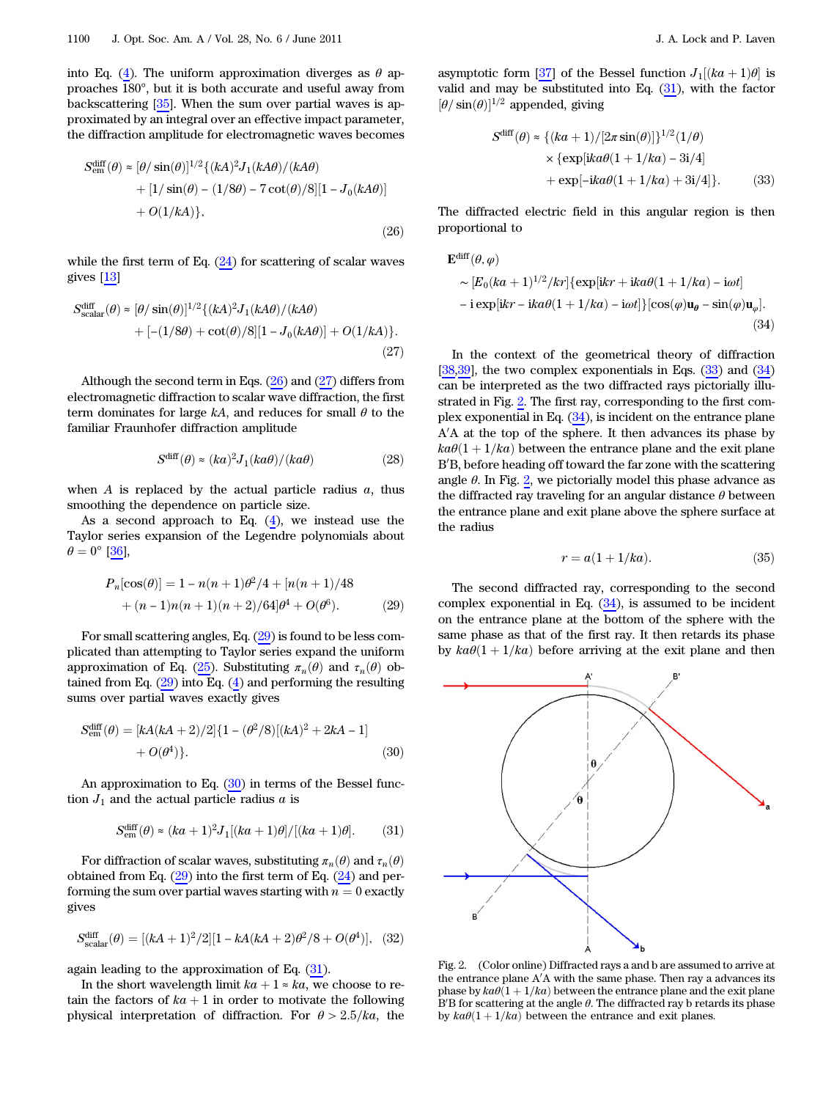into Eq. ([4](#page-1-4)). The uniform approximation diverges as  $\theta$  approaches 180°, but it is both accurate and useful away from backscattering [[35\]](#page-10-22). When the sum over partial waves is approximated by an integral over an effective impact parameter, the diffraction amplitude for electromagnetic waves becomes

<span id="page-4-0"></span>
$$
S_{\text{em}}^{\text{diff}}(\theta) \approx [\theta/\sin(\theta)]^{1/2} \{ (kA)^2 J_1(kA\theta) / (kA\theta) + [1/\sin(\theta) - (1/8\theta) - 7\cot(\theta)/8][1 - J_0(kA\theta)] + O(1/kA) \},
$$
\n(26)

<span id="page-4-1"></span>while the first term of Eq.  $(24)$  $(24)$  for scattering of scalar waves gives [[13\]](#page-10-8)

$$
S_{\text{scalar}}^{\text{diff}}(\theta) \approx [\theta/\sin(\theta)]^{1/2} \{ (kA)^2 J_1(kA\theta) / (kA\theta) + [-(1/8\theta) + \cot(\theta)/8][1 - J_0(kA\theta)] + O(1/kA) \}. \tag{27}
$$

<span id="page-4-8"></span>Although the second term in Eqs.  $(26)$  $(26)$  and  $(27)$  $(27)$  differs from electromagnetic diffraction to scalar wave diffraction, the first term dominates for large  $kA$ , and reduces for small  $\theta$  to the familiar Fraunhofer diffraction amplitude

$$
S^{\text{diff}}(\theta) \approx (ka)^2 J_1(ka\theta) / (ka\theta) \tag{28}
$$

when  $A$  is replaced by the actual particle radius  $a$ , thus smoothing the dependence on particle size.

<span id="page-4-2"></span>As a second approach to Eq.  $(4)$  $(4)$  $(4)$ , we instead use the Taylor series expansion of the Legendre polynomials about  $\theta = 0^{\circ}$  [[36\]](#page-10-23),

$$
P_n[\cos(\theta)] = 1 - n(n+1)\theta^2/4 + [n(n+1)/48
$$
  
+ (n-1)n(n+1)(n+2)/64] \theta^4 + O(\theta^6). (29)

For small scattering angles, Eq. ([29\)](#page-4-2) is found to be less complicated than attempting to Taylor series expand the uniform approximation of Eq. ([25\)](#page-3-7). Substituting  $\pi_n(\theta)$  and  $\tau_n(\theta)$  obtained from Eq.  $(29)$  $(29)$  into Eq.  $(4)$  $(4)$  $(4)$  and performing the resulting sums over partial waves exactly gives

<span id="page-4-3"></span>
$$
S_{\text{em}}^{\text{diff}}(\theta) = [kA(kA + 2)/2]\{1 - (\theta^2/8)[(kA)^2 + 2kA - 1] + O(\theta^4)\}.
$$
\n(30)

<span id="page-4-4"></span>An approximation to Eq. ([30\)](#page-4-3) in terms of the Bessel function  $J_1$  and the actual particle radius  $a$  is

$$
S_{\text{em}}^{\text{diff}}(\theta) \approx (ka+1)^2 J_1[(ka+1)\theta]/[(ka+1)\theta]. \tag{31}
$$

For diffraction of scalar waves, substituting  $\pi_n(\theta)$  and  $\tau_n(\theta)$ obtained from Eq.  $(29)$  $(29)$  into the first term of Eq.  $(24)$  $(24)$  and performing the sum over partial waves starting with  $n = 0$  exactly gives

$$
S_{\text{scalar}}^{\text{diff}}(\theta) = [(kA + 1)^2/2][1 - kA(kA + 2)\theta^2/8 + O(\theta^4)], \quad (32)
$$

again leading to the approximation of Eq.  $(31)$  $(31)$ .

In the short wavelength limit  $ka + 1 \approx ka$ , we choose to retain the factors of  $ka + 1$  in order to motivate the following physical interpretation of diffraction. For  $\theta > 2.5/ka$ , the <span id="page-4-5"></span>asymptotic form [[37\]](#page-10-24) of the Bessel function  $J_1[(ka+1)\theta]$  is valid and may be substituted into Eq.  $(31)$  $(31)$ , with the factor  $[\theta/\sin(\theta)]^{1/2}$  appended, giving

$$
S^{\text{diff}}(\theta) \approx \{ (ka+1)/[2\pi \sin(\theta)] \}^{1/2} (1/\theta)
$$

$$
\times \{ \exp[ika\theta(1+1/ka) - 3i/4] + \exp[-ika\theta(1+1/ka) + 3i/4] \}. \tag{33}
$$

<span id="page-4-6"></span>The diffracted electric field in this angular region is then proportional to

$$
\mathbf{E}^{\text{diff}}(\theta,\varphi)
$$
  
\n
$$
\sim [E_0(ka+1)^{1/2}/kr] \{ \exp[ikr + ika\theta(1+1/ka) - i\omega t] - i \exp[ikr - ika\theta(1+1/ka) - i\omega t] \} [\cos(\varphi)\mathbf{u}_{\theta} - \sin(\varphi)\mathbf{u}_{\varphi}].
$$
\n(34)

In the context of the geometrical theory of diffraction  $[38,39]$  $[38,39]$  $[38,39]$  $[38,39]$ , the two complex exponentials in Eqs.  $(33)$  $(33)$  and  $(34)$  $(34)$ can be interpreted as the two diffracted rays pictorially illustrated in Fig. [2](#page-4-7). The first ray, corresponding to the first complex exponential in Eq. ([34\)](#page-4-6), is incident on the entrance plane A'A at the top of the sphere. It then advances its phase by  $ka\theta(1+1/ka)$  between the entrance plane and the exit plane B'B, before heading off toward the far zone with the scattering angle  $\theta$ . In Fig. [2,](#page-4-7) we pictorially model this phase advance as the diffracted ray traveling for an angular distance  $\theta$  between the entrance plane and exit plane above the sphere surface at the radius

$$
r = a(1 + 1/ka). \tag{35}
$$

The second diffracted ray, corresponding to the second complex exponential in Eq.  $(34)$  $(34)$ , is assumed to be incident on the entrance plane at the bottom of the sphere with the same phase as that of the first ray. It then retards its phase by  $ka\theta(1+1/ka)$  before arriving at the exit plane and then

<span id="page-4-7"></span>

Fig. 2. (Color online) Diffracted rays a and b are assumed to arrive at the entrance plane  $A'A$  with the same phase. Then ray a advances its phase by  $ka\theta(1+1/ka)$  between the entrance plane and the exit plane B'B for scattering at the angle  $\theta$ . The diffracted ray b retards its phase by  $ka\theta(1+1/ka)$  between the entrance and exit planes.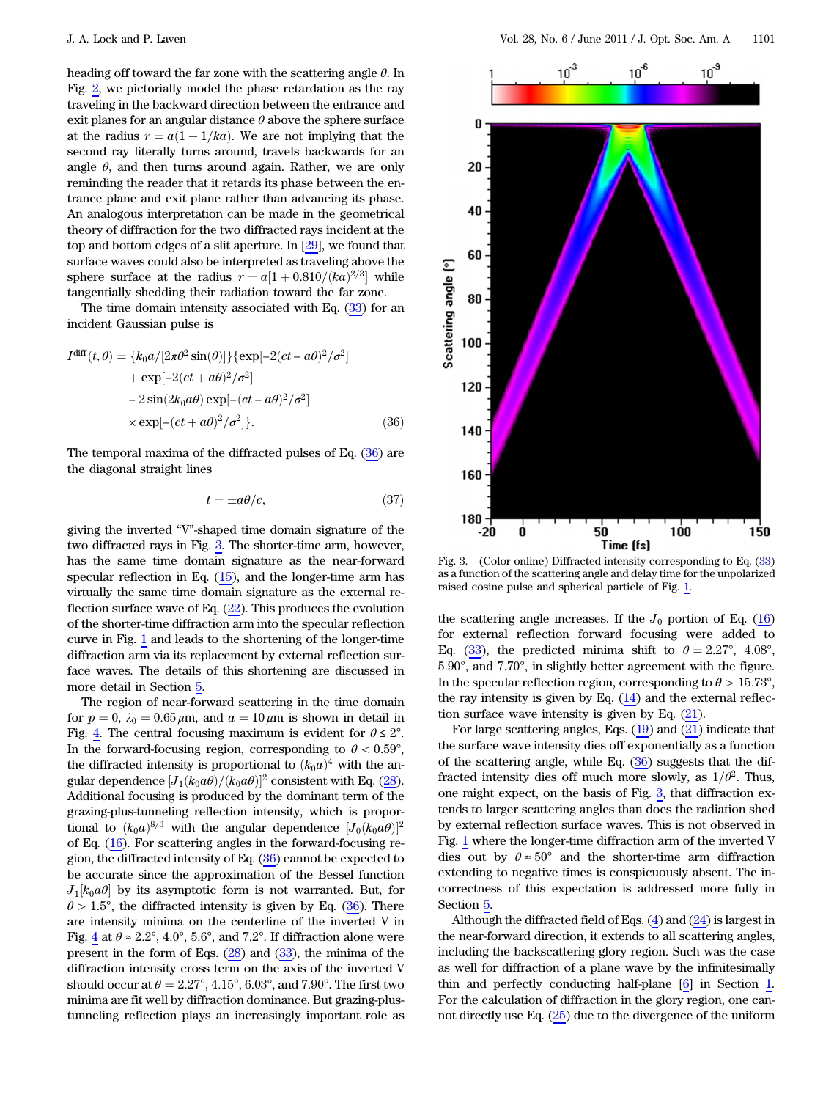heading off toward the far zone with the scattering angle  $\theta$ . In Fig. [2](#page-4-7), we pictorially model the phase retardation as the ray traveling in the backward direction between the entrance and exit planes for an angular distance  $\theta$  above the sphere surface at the radius  $r = a(1 + 1/ka)$ . We are not implying that the second ray literally turns around, travels backwards for an angle  $\theta$ , and then turns around again. Rather, we are only reminding the reader that it retards its phase between the entrance plane and exit plane rather than advancing its phase. An analogous interpretation can be made in the geometrical theory of diffraction for the two diffracted rays incident at the top and bottom edges of a slit aperture. In [\[29](#page-10-16)], we found that surface waves could also be interpreted as traveling above the sphere surface at the radius  $r = a[1 + 0.810/(ka)^{2/3}]$  while tangentially shedding their radiation toward the far zone.

<span id="page-5-0"></span>The time domain intensity associated with Eq. ([33\)](#page-4-5) for an incident Gaussian pulse is

$$
I^{\text{diff}}(t,\theta) = \{k_0 a/[2\pi\theta^2 \sin(\theta)]\} \{\exp[-2(ct - a\theta)^2/\sigma^2] + \exp[-2(ct + a\theta)^2/\sigma^2] - 2\sin(2k_0 a\theta) \exp[-(ct - a\theta)^2/\sigma^2] \times \exp[-(ct + a\theta)^2/\sigma^2]\}.
$$
\n(36)

The temporal maxima of the diffracted pulses of Eq. [\(36](#page-5-0)) are the diagonal straight lines

$$
t = \pm a\theta/c,\tag{37}
$$

giving the inverted "V"-shaped time domain signature of the two diffracted rays in Fig. [3](#page-5-1). The shorter-time arm, however, has the same time domain signature as the near-forward specular reflection in Eq. [\(15](#page-2-4)), and the longer-time arm has virtually the same time domain signature as the external reflection surface wave of Eq.  $(22)$  $(22)$ . This produces the evolution of the shorter-time diffraction arm into the specular reflection curve in Fig. [1](#page-2-3) and leads to the shortening of the longer-time diffraction arm via its replacement by external reflection surface waves. The details of this shortening are discussed in more detail in Section [5.](#page-7-0)

The region of near-forward scattering in the time domain for  $p = 0$ ,  $\lambda_0 = 0.65 \mu \text{m}$ , and  $a = 10 \mu \text{m}$  is shown in detail in Fig. [4.](#page-6-0) The central focusing maximum is evident for  $\theta \leq 2^{\circ}$ . In the forward-focusing region, corresponding to  $\theta < 0.59^{\circ}$ , the diffracted intensity is proportional to  $(k_0a)^4$  with the angular dependence  $[J_1(k_0a\theta)/(k_0a\theta)]^2$  consistent with Eq. [\(28](#page-4-8)). Additional focusing is produced by the dominant term of the grazing-plus-tunneling reflection intensity, which is proportional to  $(k_0a)^{8/3}$  with the angular dependence  $[J_0(k_0a\theta)]^2$ of Eq. [\(16](#page-3-9)). For scattering angles in the forward-focusing region, the diffracted intensity of Eq. [\(36](#page-5-0)) cannot be expected to be accurate since the approximation of the Bessel function  $J_1[k_0a\theta]$  by its asymptotic form is not warranted. But, for  $\theta$  > 1.5°, the diffracted intensity is given by Eq. ([36\)](#page-5-0). There are intensity minima on the centerline of the inverted V in Fig. [4](#page-6-0) at  $\theta \approx 2.2^{\circ}$ , 4.0°, 5.6°, and 7.2°. If diffraction alone were present in the form of Eqs.  $(28)$  $(28)$  $(28)$  and  $(33)$  $(33)$ , the minima of the diffraction intensity cross term on the axis of the inverted V should occur at  $\theta = 2.27^{\circ}, 4.15^{\circ}, 6.03^{\circ}$ , and 7.90°. The first two minima are fit well by diffraction dominance. But grazing-plustunneling reflection plays an increasingly important role as

<span id="page-5-1"></span>

Fig. 3. (Color online) Diffracted intensity corresponding to Eq. ([33\)](#page-4-5) as a function of the scattering angle and delay time for the unpolarized raised cosine pulse and spherical particle of Fig. [1](#page-2-3).

the scattering angle increases. If the  $J_0$  portion of Eq. ([16\)](#page-3-9) for external reflection forward focusing were added to Eq. ([33\)](#page-4-5), the predicted minima shift to  $\theta = 2.27^{\circ}$ , 4.08°, 5:90°, and 7:70°, in slightly better agreement with the figure. In the specular reflection region, corresponding to  $\theta > 15.73^{\circ}$ , the ray intensity is given by Eq.  $(14)$  and the external reflection surface wave intensity is given by Eq. [\(21](#page-3-10)).

For large scattering angles, Eqs.  $(19)$  $(19)$  and  $(21)$  $(21)$  indicate that the surface wave intensity dies off exponentially as a function of the scattering angle, while Eq.  $(36)$  $(36)$  suggests that the diffracted intensity dies off much more slowly, as  $1/\theta^2$ . Thus, one might expect, on the basis of Fig. [3](#page-5-1), that diffraction extends to larger scattering angles than does the radiation shed by external reflection surface waves. This is not observed in Fig. [1](#page-2-3) where the longer-time diffraction arm of the inverted V dies out by  $\theta \approx 50^{\circ}$  and the shorter-time arm diffraction extending to negative times is conspicuously absent. The incorrectness of this expectation is addressed more fully in Section [5.](#page-7-0)

Although the diffracted field of Eqs.  $(4)$  and  $(24)$  $(24)$  is largest in the near-forward direction, it extends to all scattering angles, including the backscattering glory region. Such was the case as well for diffraction of a plane wave by the infinitesimally thin and perfectly conducting half-plane [\[6\]](#page-9-4) in Section [1.](#page-0-0) For the calculation of diffraction in the glory region, one cannot directly use Eq. ([25\)](#page-3-7) due to the divergence of the uniform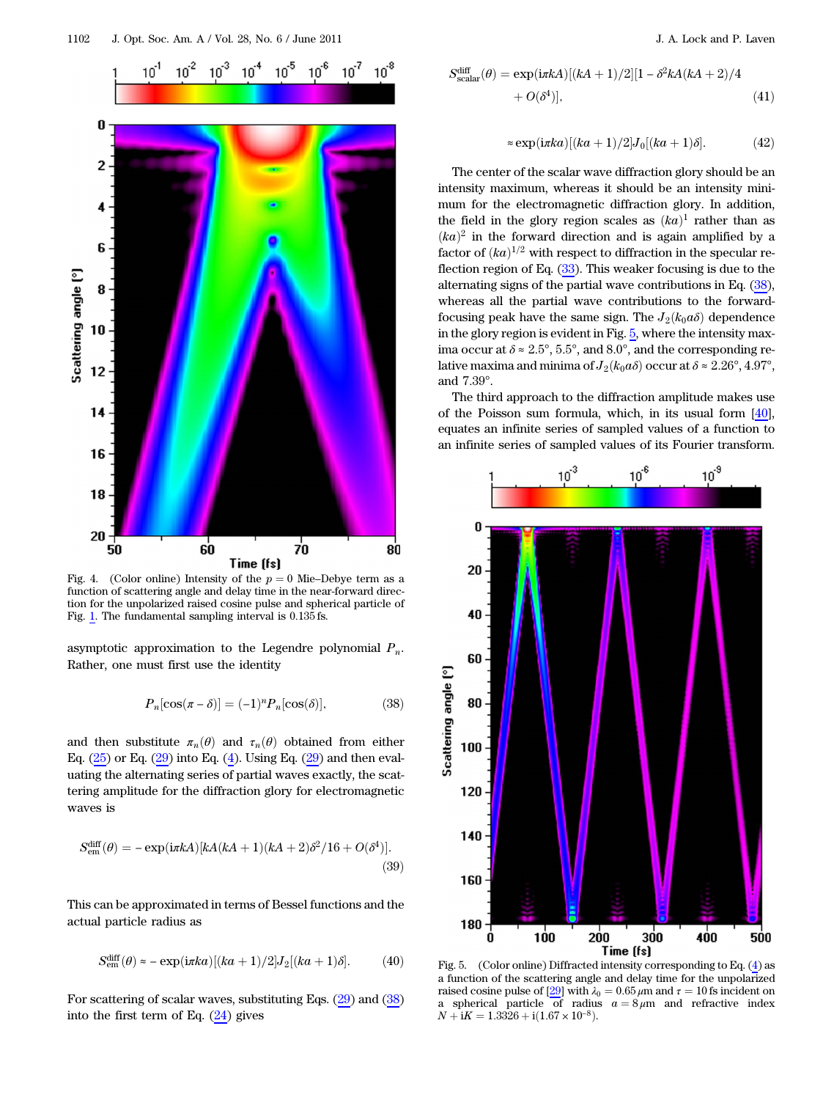<span id="page-6-0"></span>

function of scattering angle and delay time in the near-forward direction for the unpolarized raised cosine pulse and spherical particle of Fig. [1.](#page-2-3) The fundamental sampling interval is  $0.135$  fs.

<span id="page-6-1"></span>asymptotic approximation to the Legendre polynomial  $P_n$ . Rather, one must first use the identity

$$
P_n[\cos(\pi - \delta)] = (-1)^n P_n[\cos(\delta)],\tag{38}
$$

and then substitute  $\pi_n(\theta)$  and  $\tau_n(\theta)$  obtained from either Eq.  $(25)$  $(25)$  or Eq.  $(29)$  $(29)$  into Eq.  $(4)$ . Using Eq.  $(29)$  and then evaluating the alternating series of partial waves exactly, the scattering amplitude for the diffraction glory for electromagnetic waves is

$$
S_{\rm em}^{\rm diff}(\theta) = -\exp(i\pi k A)[kA(kA+1)(kA+2)\delta^2/16 + O(\delta^4)].
$$
\n(39)

This can be approximated in terms of Bessel functions and the actual particle radius as

$$
S_{\text{em}}^{\text{diff}}(\theta) \approx -\exp(i\pi ka)[(ka+1)/2]J_2[(ka+1)\delta]. \tag{40}
$$

For scattering of scalar waves, substituting Eqs. ([29\)](#page-4-2) and ([38\)](#page-6-1) into the first term of Eq. ([24\)](#page-3-6) gives

$$
S_{\text{scalar}}^{\text{diff}}(\theta) = \exp(i\pi k A)[(kA + 1)/2][1 - \delta^2 k A(kA + 2)/4
$$
  
+  $O(\delta^4)],$  (41)

$$
\approx \exp(i\pi ka)[(ka+1)/2]J_0[(ka+1)\delta]. \tag{42}
$$

The center of the scalar wave diffraction glory should be an intensity maximum, whereas it should be an intensity minimum for the electromagnetic diffraction glory. In addition, the field in the glory region scales as  $(ka)^1$  rather than as  $(ka)^2$  in the forward direction and is again amplified by a factor of  $(ka)^{1/2}$  with respect to diffraction in the specular reflection region of Eq. [\(33](#page-4-5)). This weaker focusing is due to the alternating signs of the partial wave contributions in Eq. [\(38](#page-6-1)), whereas all the partial wave contributions to the forwardfocusing peak have the same sign. The  $J_2(k_0a\delta)$  dependence in the glory region is evident in Fig. [5,](#page-6-2) where the intensity maxima occur at  $\delta \approx 2.5^{\circ}$ , 5.5°, and 8.0°, and the corresponding relative maxima and minima of  $J_2(k_0a\delta)$  occur at  $\delta \approx 2.26^\circ, 4.97^\circ$ , and 7:39°.

The third approach to the diffraction amplitude makes use of the Poisson sum formula, which, in its usual form [[40\]](#page-10-27), equates an infinite series of sampled values of a function to an infinite series of sampled values of its Fourier transform.

<span id="page-6-2"></span>

Fig. 5. (Color online) Diffracted intensity corresponding to Eq. ([4\)](#page-1-4) as a function of the scattering angle and delay time for the unpolarized raised cosine pulse of [[29\]](#page-10-16) with  $\lambda_0 = 0.65 \,\mu\text{m}$  and  $\tau = 10 \,\text{fs}$  incident on a spherical particle of radius  $a = 8 \mu m$  and refractive index  $N + iK = 1.3326 + i(1.67 \times 10^{-8}).$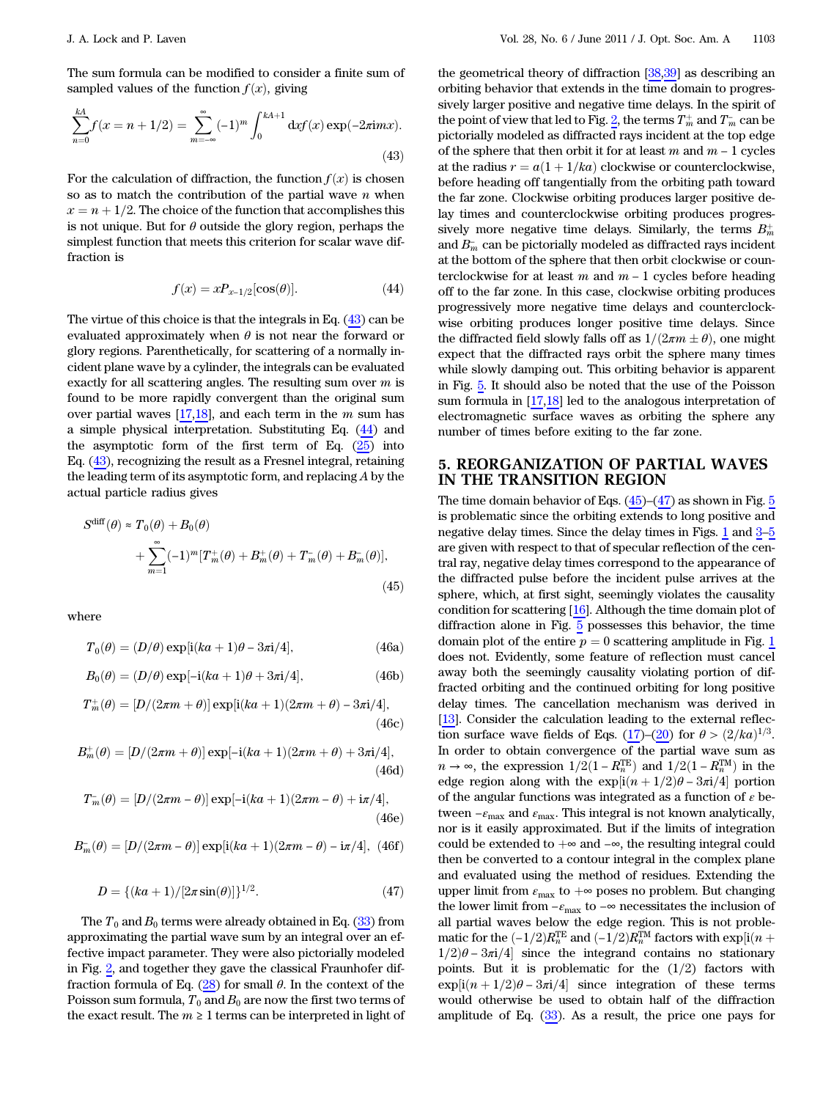<span id="page-7-1"></span>The sum formula can be modified to consider a finite sum of sampled values of the function  $f(x)$ , giving

$$
\sum_{n=0}^{kA} f(x = n + 1/2) = \sum_{m=-\infty}^{\infty} (-1)^m \int_0^{kA+1} dx f(x) \exp(-2\pi i mx).
$$
\n(43)

<span id="page-7-2"></span>For the calculation of diffraction, the function  $f(x)$  is chosen so as to match the contribution of the partial wave  $n$  when  $x = n + 1/2$ . The choice of the function that accomplishes this is not unique. But for  $\theta$  outside the glory region, perhaps the simplest function that meets this criterion for scalar wave diffraction is

$$
f(x) = xP_{x-1/2}[\cos(\theta)].
$$
\n(44)

The virtue of this choice is that the integrals in Eq. ([43\)](#page-7-1) can be evaluated approximately when  $\theta$  is not near the forward or glory regions. Parenthetically, for scattering of a normally incident plane wave by a cylinder, the integrals can be evaluated exactly for all scattering angles. The resulting sum over  $m$  is found to be more rapidly convergent than the original sum over partial waves  $[17,18]$  $[17,18]$  $[17,18]$  $[17,18]$ , and each term in the m sum has a simple physical interpretation. Substituting Eq. ([44\)](#page-7-2) and the asymptotic form of the first term of Eq.  $(25)$  $(25)$  into Eq. ([43\)](#page-7-1), recognizing the result as a Fresnel integral, retaining the leading term of its asymptotic form, and replacing  $A$  by the actual particle radius gives

<span id="page-7-3"></span>
$$
S^{\text{diff}}(\theta) \approx T_0(\theta) + B_0(\theta)
$$
  
+ 
$$
\sum_{m=1}^{\infty} (-1)^m [T_m^+(\theta) + B_m^+(\theta) + T_m^-(\theta) + B_m^-(\theta)],
$$
(45)

where

$$
T_0(\theta) = (D/\theta) \exp[i(ka+1)\theta - 3\pi i/4], \qquad (46a)
$$

$$
B_0(\theta) = (D/\theta) \exp[-i(ka+1)\theta + 3\pi i/4], \qquad (46b)
$$

$$
T_m^+(\theta) = [D/(2\pi m + \theta)] \exp[i(ka+1)(2\pi m + \theta) - 3\pi i/4],
$$
\n(46c)

$$
B_m^+(\theta) = [D/(2\pi m + \theta)] \exp[-i(ka+1)(2\pi m + \theta) + 3\pi i/4],
$$
\n(46d)

$$
T_m^-(\theta) = [D/(2\pi m - \theta)] \exp[-i(ka+1)(2\pi m - \theta) + i\pi/4],
$$
\n(46e)

<span id="page-7-4"></span>
$$
B_m^-(\theta) = [D/(2\pi m - \theta)] \exp[i(ka+1)(2\pi m - \theta) - i\pi/4], (46f)
$$

$$
D = \{ (ka+1)/[2\pi \sin(\theta)] \}^{1/2}.
$$
 (47)

The  $T_0$  and  $B_0$  terms were already obtained in Eq. ([33\)](#page-4-5) from approximating the partial wave sum by an integral over an effective impact parameter. They were also pictorially modeled in Fig. [2,](#page-4-7) and together they gave the classical Fraunhofer diffraction formula of Eq.  $(28)$  $(28)$  for small  $\theta$ . In the context of the Poisson sum formula,  $T_0$  and  $B_0$  are now the first two terms of the exact result. The  $m \geq 1$  terms can be interpreted in light of

the geometrical theory of diffraction [[38,](#page-10-25)[39](#page-10-26)] as describing an orbiting behavior that extends in the time domain to progressively larger positive and negative time delays. In the spirit of the point of view that led to Fig. [2,](#page-4-7) the terms  $\overline{T^+_m}$  and  $\overline{T^-_m}$  can be pictorially modeled as diffracted rays incident at the top edge of the sphere that then orbit it for at least m and  $m - 1$  cycles at the radius  $r = a(1 + 1/ka)$  clockwise or counterclockwise, before heading off tangentially from the orbiting path toward the far zone. Clockwise orbiting produces larger positive delay times and counterclockwise orbiting produces progressively more negative time delays. Similarly, the terms  $B_m^+$ and  $B_m^-$  can be pictorially modeled as diffracted rays incident at the bottom of the sphere that then orbit clockwise or counterclockwise for at least  $m$  and  $m - 1$  cycles before heading off to the far zone. In this case, clockwise orbiting produces progressively more negative time delays and counterclockwise orbiting produces longer positive time delays. Since the diffracted field slowly falls off as  $1/(2\pi m \pm \theta)$ , one might<br>expect that the diffracted rays orbit the sphere many times expect that the diffracted rays orbit the sphere many times while slowly damping out. This orbiting behavior is apparent in Fig. [5.](#page-6-2) It should also be noted that the use of the Poisson sum formula in [[17](#page-10-6)[,18](#page-10-28)] led to the analogous interpretation of electromagnetic surface waves as orbiting the sphere any number of times before exiting to the far zone.

#### <span id="page-7-0"></span>5. REORGANIZATION OF PARTIAL WAVES IN THE TRANSITION REGION

The time domain behavior of Eqs.  $(45)-(47)$  $(45)-(47)$  $(45)-(47)$  as shown in Fig.  $5$ is problematic since the orbiting extends to long positive and negative delay times. Since the delay times in Figs. [1](#page-2-3) and [3](#page-5-1)–[5](#page-6-2) are given with respect to that of specular reflection of the central ray, negative delay times correspond to the appearance of the diffracted pulse before the incident pulse arrives at the sphere, which, at first sight, seemingly violates the causality condition for scattering [\[16](#page-10-4)]. Although the time domain plot of diffraction alone in Fig. [5](#page-6-2) possesses this behavior, the time domain plot of the entire  $p = 0$  scattering amplitude in Fig. [1](#page-2-3) does not. Evidently, some feature of reflection must cancel away both the seemingly causality violating portion of diffracted orbiting and the continued orbiting for long positive delay times. The cancellation mechanism was derived in [[13\]](#page-10-8). Consider the calculation leading to the external reflec-tion surface wave fields of Eqs. ([17\)](#page-3-4)–[\(20](#page-3-2)) for  $\theta > (2/ka)^{1/3}$ . In order to obtain convergence of the partial wave sum as  $n \to \infty$ , the expression  $1/2(1 - R_n^{TE})$  and  $1/2(1 - R_n^{TM})$  in the explicit  $1/2(1 - R_n^{TM})$  ortion edge region along with the  $\exp[i(n+1/2)\theta - 3\pi i/4]$  portion of the angular functions was integrated as a function of  $\varepsilon$  between  $-\varepsilon_{\max}$  and  $\varepsilon_{\max}.$  This integral is not known analytically, nor is it easily approximated. But if the limits of integration could be extended to  $+\infty$  and  $-\infty$ , the resulting integral could then be converted to a contour integral in the complex plane and evaluated using the method of residues. Extending the upper limit from  $\varepsilon_{\text{max}}$  to  $+\infty$  poses no problem. But changing the lower limit from  $-\varepsilon_{\text{max}}$  to  $-\infty$  necessitates the inclusion of all partial waves below the edge region. This is not problematic for the  $\left(-1/2\right)R_n^{TE}$  and  $\left(-1/2\right)R_n^{TM}$  factors with exp[i(n + 1/2) $a - 3\pi i/d$ ] since the integrand contains no stationary  $1/2)\theta - 3\pi i/4$  since the integrand contains no stationary points. But it is problematic for the  $(1/2)$  factors with  $\exp[i(n+1/2)\theta - 3\pi i/4]$  since integration of these terms would otherwise be used to obtain half of the diffraction amplitude of Eq. [\(33](#page-4-5)). As a result, the price one pays for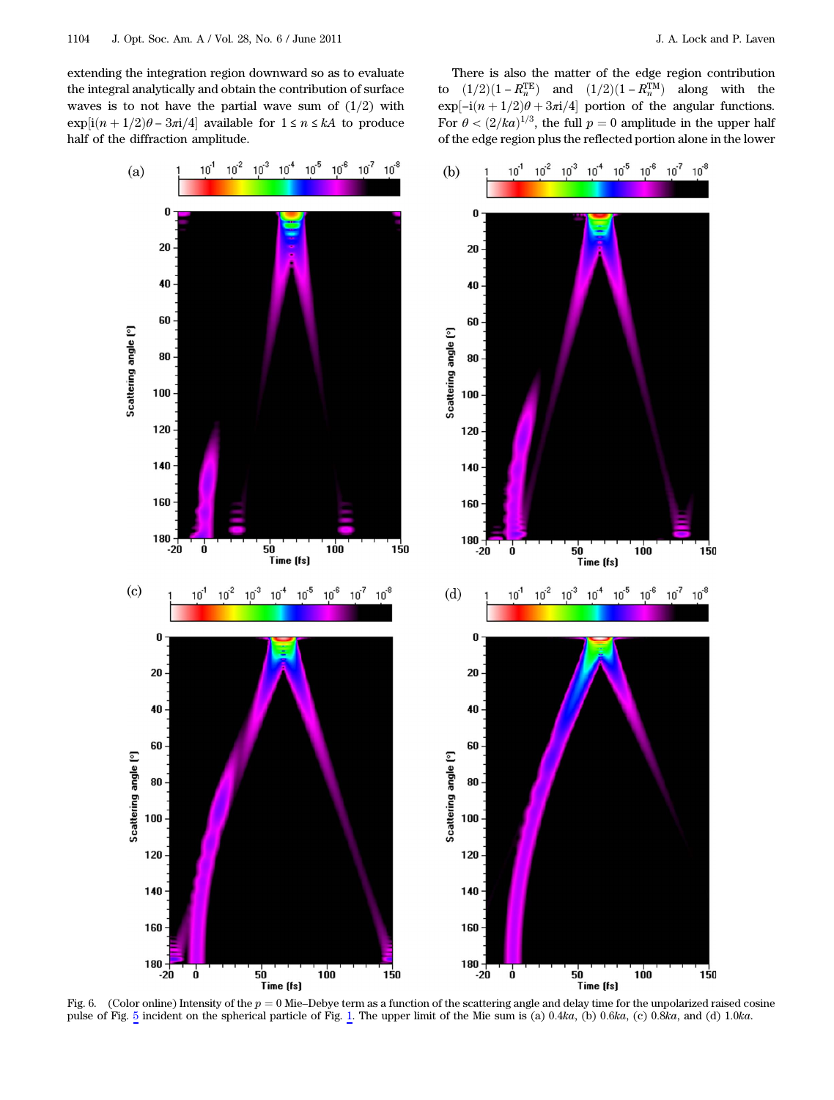extending the integration region downward so as to evaluate the integral analytically and obtain the contribution of surface waves is to not have the partial wave sum of  $(1/2)$  with  $\exp[i(n+1/2)\theta - 3\pi i/4]$  available for  $1 \le n \le kA$  to produce half of the diffraction amplitude.

There is also the matter of the edge region contribution to  $(1/2)(1 - R_{n}^{TE})$  and  $(1/2)(1 - R_{n}^{TM})$  along with the  $\exp[-i(n+1/2)\theta + 3\pi i/4]$  portion of the angular functions. For  $\theta < (2/ka)^{1/3}$ , the full  $p = 0$  amplitude in the upper half of the edge region plus the reflected portion alone in the lower



<span id="page-8-0"></span>Fig. 6. (Color online) Intensity of the  $p = 0$  Mie–Debye term as a function of the scattering angle and delay time for the unpolarized raised cosine pulse of Fig. [5](#page-6-2) incident on the spherical particle of Fig. [1.](#page-2-3) The upper limit of the Mie sum is (a) 0.4ka, (b) 0.6ka, (c) 0.8ka, and (d) 1.0ka.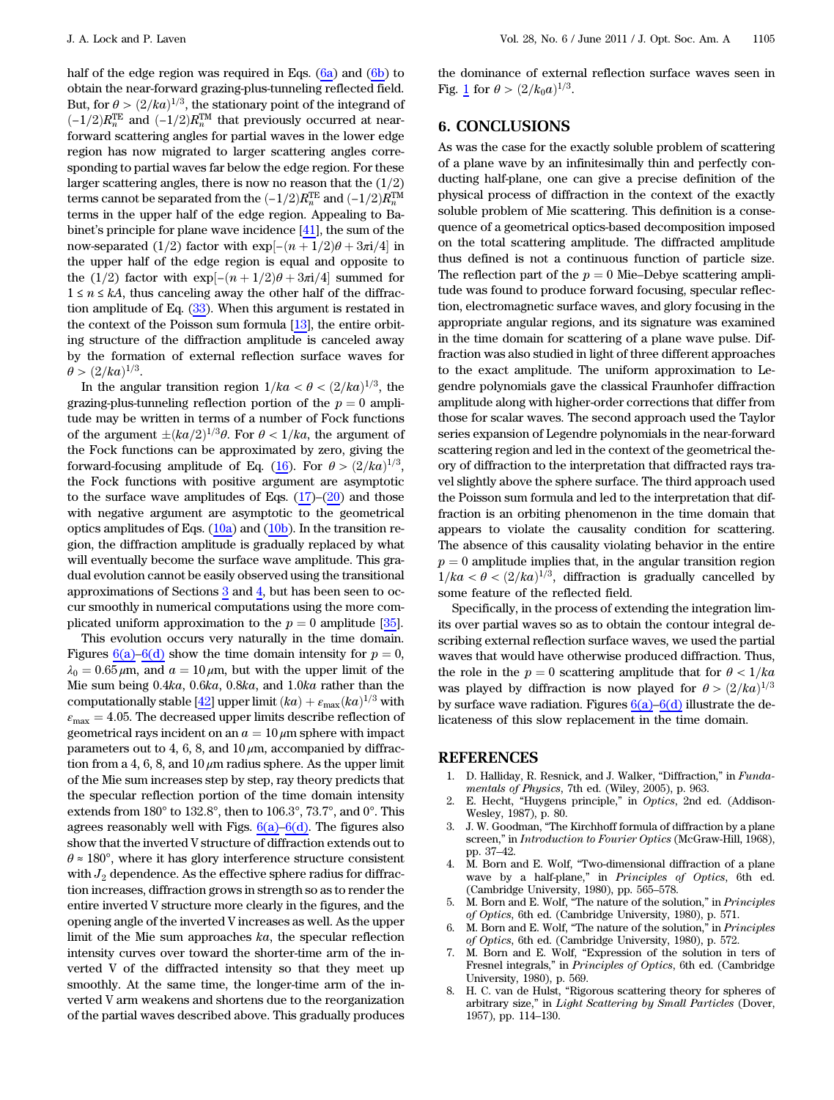half of the edge region was required in Eqs.  $(6a)$  and  $(6b)$  to obtain the near-forward grazing-plus-tunneling reflected field. But, for  $\theta > (2/ka)^{1/3}$ , the stationary point of the integrand of  $\left(-\frac{1}{2}\right)R_n^{\text{TE}}$  and  $\left(-\frac{1}{2}\right)R_n^{\text{TM}}$  that previously occurred at near-<br>forward scattering angles for partial waves in the lower edge forward scattering angles for partial waves in the lower edge region has now migrated to larger scattering angles corresponding to partial waves far below the edge region. For these larger scattering angles, there is now no reason that the  $(1/2)$ terms cannot be separated from the  $(-1/2)R_n^{TE}$  and  $(-1/2)R_n^{TM}$ <br>terms in the unper half of the edge region. Annealing to Ba terms in the upper half of the edge region. Appealing to Babinet's principle for plane wave incidence [[41\]](#page-10-29), the sum of the now-separated (1/2) factor with exp[ $-(n + 1/2)\theta + 3\pi i/4$  in the upper half of the edge region is equal and opposite to the (1/2) factor with exp[− $(n+1/2)\theta + 3\pi i/4$  summed for  $1 \le n \le kA$ , thus canceling away the other half of the diffraction amplitude of Eq. [\(33](#page-4-5)). When this argument is restated in the context of the Poisson sum formula [[13\]](#page-10-8), the entire orbiting structure of the diffraction amplitude is canceled away by the formation of external reflection surface waves for  $\theta > (2/ka)^{1/3}.$ 

In the angular transition region  $1/ka < \theta < (2/ka)^{1/3}$ , the grazing-plus-tunneling reflection portion of the  $p = 0$  amplitude may be written in terms of a number of Fock functions of the argument  $\pm (ka/2)^{1/3}\theta$ . For  $\theta < 1/ka$ , the argument of the Fock functions can be approximated by zero, giving the the Fock functions can be approximated by zero, giving the forward-focusing amplitude of Eq. [\(16](#page-3-9)). For  $\theta > (2/ka)^{1/3}$ , the Fock functions with positive argument are asymptotic to the surface wave amplitudes of Eqs.  $(17)$  $(17)$ – $(20)$  and those with negative argument are asymptotic to the geometrical optics amplitudes of Eqs.  $(10a)$  and  $(10b)$ . In the transition region, the diffraction amplitude is gradually replaced by what will eventually become the surface wave amplitude. This gradual evolution cannot be easily observed using the transitional approximations of Sections [3](#page-2-0) and [4](#page-3-0), but has been seen to occur smoothly in numerical computations using the more complicated uniform approximation to the  $p = 0$  amplitude [\[35](#page-10-22)].

This evolution occurs very naturally in the time domain. Figures [6\(a\)](#page-8-0)–[6\(d\)](#page-8-0) show the time domain intensity for  $p = 0$ ,  $\lambda_0 = 0.65 \,\mu$ m, and  $a = 10 \,\mu$ m, but with the upper limit of the Mie sum being 0:4ka, 0:6ka, 0:8ka, and 1:0ka rather than the computationally stable [\[42](#page-10-30)] upper limit  $(ka) + \varepsilon_{\text{max}}(ka)^{1/3}$  with  $\varepsilon_{\text{max}} = 4.05$ . The decreased upper limits describe reflection of geometrical rays incident on an  $a = 10 \mu$ m sphere with impact parameters out to 4, 6, 8, and  $10 \mu m$ , accompanied by diffraction from a 4, 6, 8, and  $10 \mu m$  radius sphere. As the upper limit of the Mie sum increases step by step, ray theory predicts that the specular reflection portion of the time domain intensity extends from 180° to 132:8°, then to 106:3°, 73:7°, and 0°. This agrees reasonably well with Figs.  $6(a)$ – $6(d)$ . The figures also show that the inverted V structure of diffraction extends out to  $\theta \approx 180^{\circ}$ , where it has glory interference structure consistent with  $J_2$  dependence. As the effective sphere radius for diffraction increases, diffraction grows in strength so as to render the entire inverted V structure more clearly in the figures, and the opening angle of the inverted V increases as well. As the upper limit of the Mie sum approaches ka, the specular reflection intensity curves over toward the shorter-time arm of the inverted V of the diffracted intensity so that they meet up smoothly. At the same time, the longer-time arm of the inverted V arm weakens and shortens due to the reorganization of the partial waves described above. This gradually produces

<span id="page-9-7"></span>the dominance of external reflection surface waves seen in Fig. [1](#page-2-3) for  $\theta > (2/k_0a)^{1/3}$ .

## 6. CONCLUSIONS

As was the case for the exactly soluble problem of scattering of a plane wave by an infinitesimally thin and perfectly conducting half-plane, one can give a precise definition of the physical process of diffraction in the context of the exactly soluble problem of Mie scattering. This definition is a consequence of a geometrical optics-based decomposition imposed on the total scattering amplitude. The diffracted amplitude thus defined is not a continuous function of particle size. The reflection part of the  $p = 0$  Mie–Debye scattering amplitude was found to produce forward focusing, specular reflection, electromagnetic surface waves, and glory focusing in the appropriate angular regions, and its signature was examined in the time domain for scattering of a plane wave pulse. Diffraction was also studied in light of three different approaches to the exact amplitude. The uniform approximation to Legendre polynomials gave the classical Fraunhofer diffraction amplitude along with higher-order corrections that differ from those for scalar waves. The second approach used the Taylor series expansion of Legendre polynomials in the near-forward scattering region and led in the context of the geometrical theory of diffraction to the interpretation that diffracted rays travel slightly above the sphere surface. The third approach used the Poisson sum formula and led to the interpretation that diffraction is an orbiting phenomenon in the time domain that appears to violate the causality condition for scattering. The absence of this causality violating behavior in the entire  $p = 0$  amplitude implies that, in the angular transition region  $1/ka < \theta < (2/ka)^{1/3}$ , diffraction is gradually cancelled by some feature of the reflected field.

Specifically, in the process of extending the integration limits over partial waves so as to obtain the contour integral describing external reflection surface waves, we used the partial waves that would have otherwise produced diffraction. Thus, the role in the  $p = 0$  scattering amplitude that for  $\theta < 1/ka$ was played by diffraction is now played for  $\theta > (2/ka)^{1/3}$ by surface wave radiation. Figures  $6(a)$ – $6(d)$  illustrate the delicateness of this slow replacement in the time domain.

#### <span id="page-9-0"></span>REFERENCES

- 1. D. Halliday, R. Resnick, and J. Walker, "Diffraction," in Fundamentals of Physics, 7th ed. (Wiley, 2005), p. 963.
- <span id="page-9-1"></span>2. E. Hecht, "Huygens principle," in Optics, 2nd ed. (Addison-Wesley, 1987), p. 80.
- <span id="page-9-2"></span>3. J. W. Goodman, "The Kirchhoff formula of diffraction by a plane screen," in Introduction to Fourier Optics (McGraw-Hill, 1968), pp. 37–42.
- <span id="page-9-3"></span>4. M. Born and E. Wolf, "Two-dimensional diffraction of a plane wave by a half-plane," in Principles of Optics, 6th ed. (Cambridge University, 1980), pp. 565–578.
- <span id="page-9-4"></span>5. M. Born and E. Wolf, "The nature of the solution," in Principles of Optics, 6th ed. (Cambridge University, 1980), p. 571.
- <span id="page-9-5"></span>6. M. Born and E. Wolf, "The nature of the solution," in Principles of Optics, 6th ed. (Cambridge University, 1980), p. 572.
- <span id="page-9-6"></span>7. M. Born and E. Wolf, "Expression of the solution in ters of Fresnel integrals," in Principles of Optics, 6th ed. (Cambridge University, 1980), p. 569.
- 8. H. C. van de Hulst, "Rigorous scattering theory for spheres of arbitrary size," in Light Scattering by Small Particles (Dover, 1957), pp. 114–130.